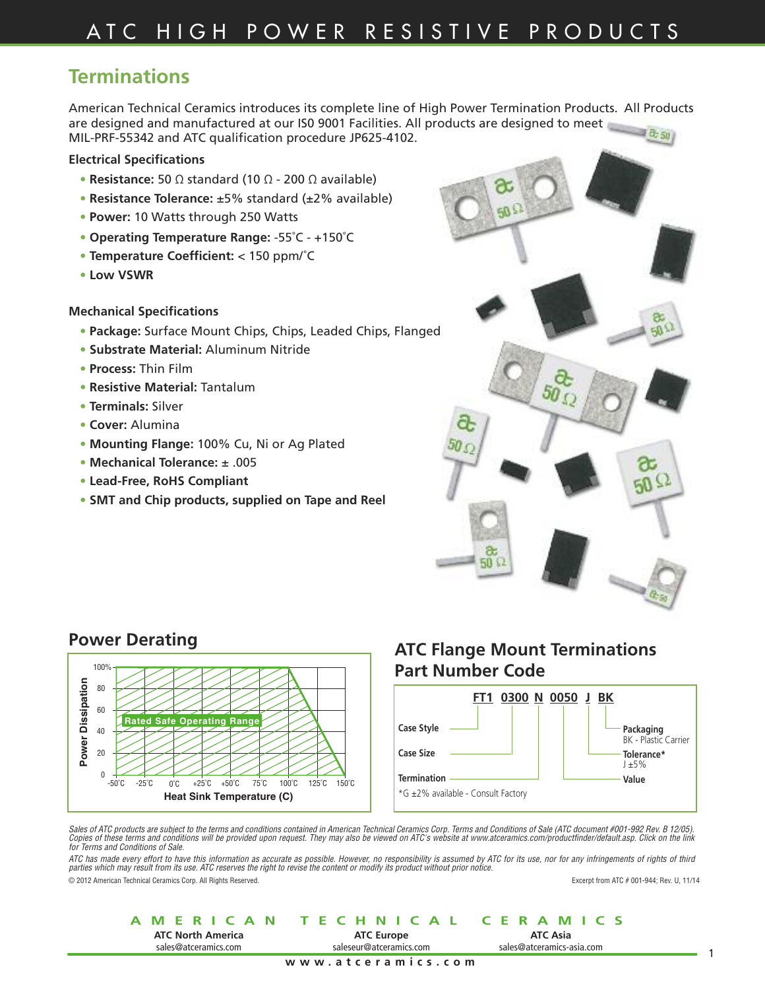### **Terminations**

American Technical Ceramics introduces its complete line of High Power Termination Products. All Products are designed and manufactured at our IS0 9001 Facilities. All products are designed to meet  $-10.50$ MIL-PRF-55342 and ATC qualification procedure JP625-4102.

### **Electrical Specifications**

- **• Resistance:** 50 Ω standard (10 Ω 200 Ω available)
- **• Resistance Tolerance:** ±5% standard (±2% available)
- **• Power:** 10 Watts through 250 Watts
- **• Operating Temperature Range:** -55˚C +150˚C
- **• Temperature Coefficient:** < 150 ppm/˚C
- **• Low VSWR**

#### **Mechanical Specifications**

- **• Package:** Surface Mount Chips, Chips, Leaded Chips, Flanged
- **• Substrate Material:** Aluminum Nitride
- **• Process:** Thin Film
- **• Resistive Material:** Tantalum
- **• Terminals:** Silver
- **• Cover:** Alumina
- **• Mounting Flange:** 100% Cu, Ni or Ag Plated
- **• Mechanical Tolerance:** ± .005
- **• Lead-Free, RoHS Compliant**
- **• SMT and Chip products, supplied on Tape and Reel**



### **Power Derating**



### **ATC Flange Mount Terminations Part Number Code**



*Sales of ATC products are subject to the terms and conditions contained in American Technical Ceramics Corp. Terms and Conditions of Sale (ATC document #001-992 Rev. B 12/05). Copies of these terms and conditions will be provided upon request. They may also be viewed on ATC's website at www.atceramics.com/productfinder/default.asp. Click on the link for Terms and Conditions of Sale.*

ATC has made every effort to have this information as accurate as possible. However, no responsibility is assumed by ATC for its use, nor for any infringements of rights of third<br>parties which may result from its use. ATC

© 2012 American Technical Ceramics Corp. All Rights Reserved. Excerpt from ATC # 001-944; Rev. U, 11/14

#### **AMERICAN TECHNICAL CERAMICS www.atceramics.com ATC North America** sales@atceramics.com **ATC Asia** sales@atceramics-asia.com **ATC Europe** saleseur@atceramics.com

1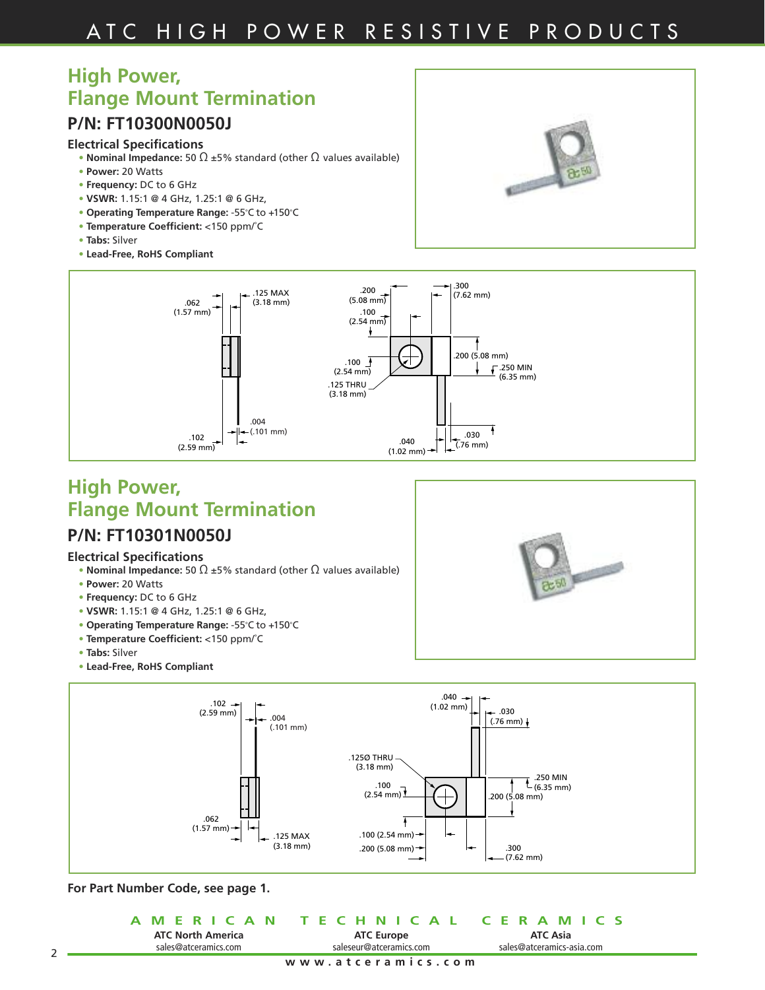# **High Power, Flange Mount Termination**

### **P/N: FT10300N0050J**

#### **Electrical Specifications**

- **• Nominal Impedance:** 50 Ω ±5% standard (other Ω values available)
- **• Power:** 20 Watts
- **• Frequency:** DC to 6 GHz
- **• VSWR:** 1.15:1 @ 4 GHz, 1.25:1 @ 6 GHz,
- **• Operating Temperature Range:** -55˚C to +150˚C
- **• Temperature Coefficient:** <150 ppm/˚C
- **• Tabs:** Silver
- **• Lead-Free, RoHS Compliant**





### **High Power, Flange Mount Termination P/N: FT10301N0050J**

#### **Electrical Specifications**

- **• Nominal Impedance:** 50 Ω ±5% standard (other Ω values available)
- **• Power:** 20 Watts
- **• Frequency:** DC to 6 GHz
- **• VSWR:** 1.15:1 @ 4 GHz, 1.25:1 @ 6 GHz,
- **• Operating Temperature Range:** -55˚C to +150˚C
- **• Temperature Coefficient:** <150 ppm/˚C
- **• Tabs:** Silver
- **• Lead-Free, RoHS Compliant**



#### **For Part Number Code, see page 1.**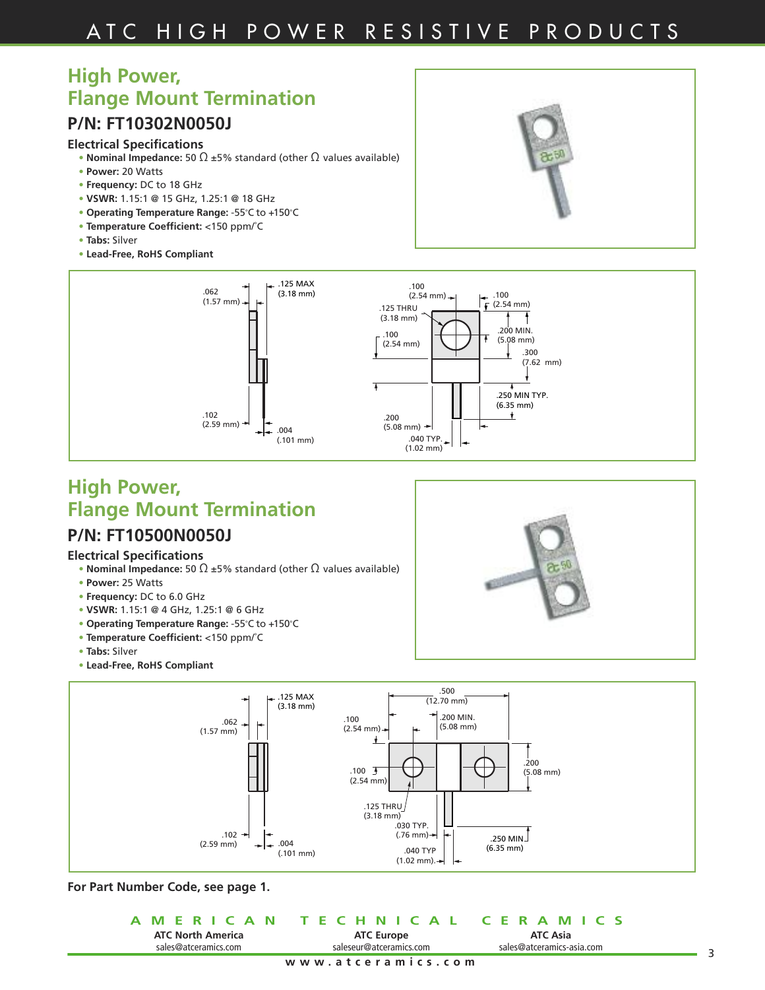# **High Power, Flange Mount Termination**

### **P/N: FT10302N0050J**

#### **Electrical Specifications**

- **• Nominal Impedance:** 50 Ω ±5% standard (other Ω values available)
- **• Power:** 20 Watts
- **• Frequency:** DC to 18 GHz
- **• VSWR:** 1.15:1 @ 15 GHz, 1.25:1 @ 18 GHz
- **• Operating Temperature Range:** -55˚C to +150˚C
- **• Temperature Coefficient:** <150 ppm/˚C
- **• Tabs:** Silver
- **• Lead-Free, RoHS Compliant**





# **High Power, Flange Mount Termination**

### **P/N: FT10500N0050J**

#### **Electrical Specifications**

- **• Nominal Impedance:** 50 Ω ±5% standard (other Ω values available)
- **• Power:** 25 Watts
- **• Frequency:** DC to 6.0 GHz
- **• VSWR:** 1.15:1 @ 4 GHz, 1.25:1 @ 6 GHz
- **• Operating Temperature Range:** -55˚C to +150˚C
- **• Temperature Coefficient:** <150 ppm/˚C
- **• Tabs:** Silver
- **• Lead-Free, RoHS Compliant**





|                          | A MERICAN TECHNICAL CERAMICS |                           |  |
|--------------------------|------------------------------|---------------------------|--|
| <b>ATC North America</b> | <b>ATC Europe</b>            | <b>ATC Asia</b>           |  |
| sales@atceramics.com     | saleseur@atceramics.com      | sales@atceramics-asia.com |  |
|                          | www.atceramics.com           |                           |  |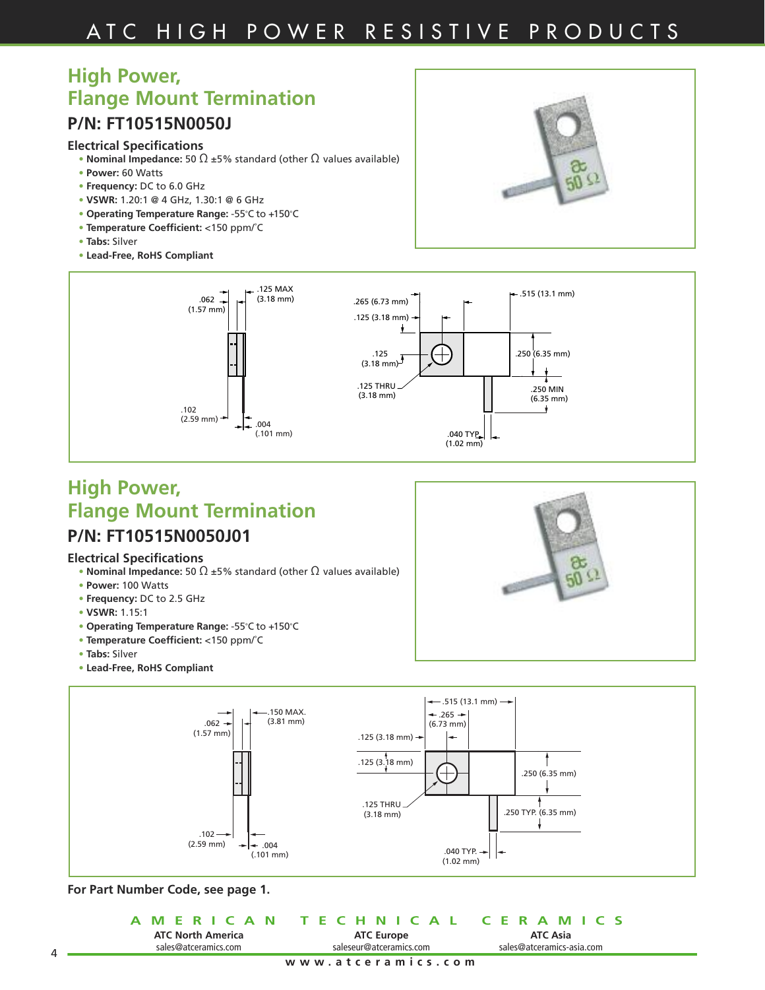# **High Power, Flange Mount Termination**

### **P/N: FT10515N0050J**

#### **Electrical Specifications**

- **• Nominal Impedance:** 50 Ω ±5% standard (other Ω values available)
- **• Power:** 60 Watts
- **• Frequency:** DC to 6.0 GHz
- **• VSWR:** 1.20:1 @ 4 GHz, 1.30:1 @ 6 GHz
- **• Operating Temperature Range:** -55˚C to +150˚C
- **• Temperature Coefficient:** <150 ppm/˚C
- **• Tabs:** Silver
- **• Lead-Free, RoHS Compliant**





# **High Power, Flange Mount Termination**

### **P/N: FT10515N0050J01**

#### **Electrical Specifications**

- **• Nominal Impedance:** 50 Ω ±5% standard (other Ω values available)
- **• Power:** 100 Watts
- **• Frequency:** DC to 2.5 GHz
- **• VSWR:** 1.15:1
- **• Operating Temperature Range:** -55˚C to +150˚C
- **• Temperature Coefficient:** <150 ppm/˚C
- **• Tabs:** Silver
- **• Lead-Free, RoHS Compliant**





**For Part Number Code, see page 1.**

|                          | A MERICAN TECHNICAL CERAMICS |                           |
|--------------------------|------------------------------|---------------------------|
| <b>ATC North America</b> | <b>ATC Europe</b>            | <b>ATC Asia</b>           |
| sales@atceramics.com     | saleseur@atceramics.com      | sales@atceramics-asia.com |
|                          | www.atceramics.com           |                           |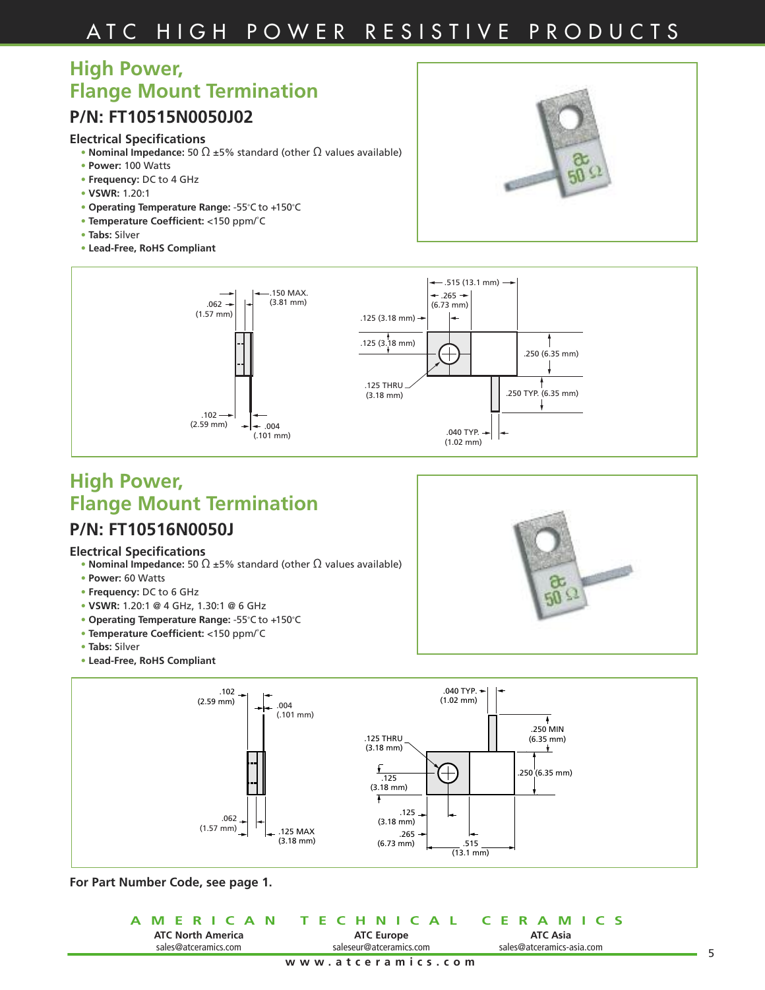# A T C H I G H P O W E R R E S I S T I V E P R O D U C T S

# **High Power, Flange Mount Termination**

### **P/N: FT10515N0050J02**

#### **Electrical Specifications**

- **• Nominal Impedance:** 50 Ω ±5% standard (other Ω values available)
- **• Power:** 100 Watts
- **• Frequency:** DC to 4 GHz
- **• VSWR:** 1.20:1
- **• Operating Temperature Range:** -55˚C to +150˚C
- **• Temperature Coefficient:** <150 ppm/˚C
- **• Tabs:** Silver
- **• Lead-Free, RoHS Compliant**



௷  $50\Omega$ 



# **High Power, Flange Mount Termination**

### **P/N: FT10516N0050J**

#### **Electrical Specifications**

- **• Nominal Impedance:** 50 Ω ±5% standard (other Ω values available)
- **• Power:** 60 Watts
- **• Frequency:** DC to 6 GHz
- **• VSWR:** 1.20:1 @ 4 GHz, 1.30:1 @ 6 GHz
- **• Operating Temperature Range:** -55˚C to +150˚C
- **• Temperature Coefficient:** <150 ppm/˚C
- **• Tabs:** Silver
- **• Lead-Free, RoHS Compliant**



|                          | A MERICAN TECHNICAL CERAMICS |                           |
|--------------------------|------------------------------|---------------------------|
| <b>ATC North America</b> | <b>ATC Europe</b>            | ATC Asia                  |
| sales@atceramics.com     | saleseur@atceramics.com      | sales@atceramics-asia.com |
|                          | www.atceramics.com           |                           |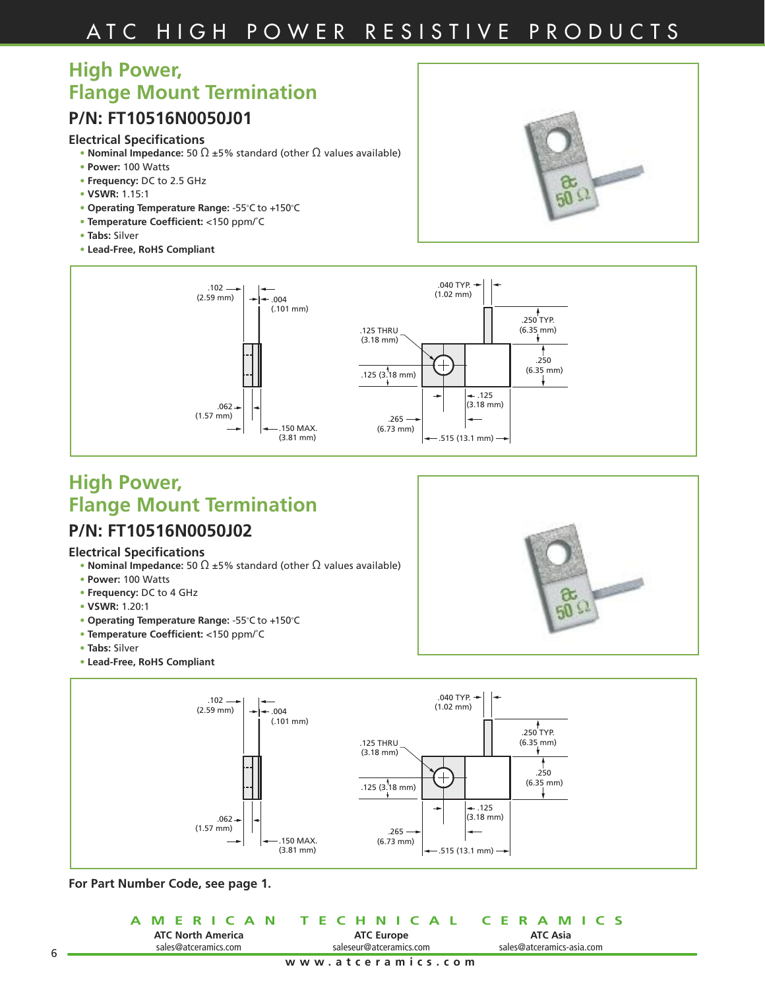# A T C H I G H P O W E R R E S I S T I V E P R O D U C T S

### **High Power, Flange Mount Termination**

### **P/N: FT10516N0050J01**

### **Electrical Specifications**

- **• Nominal Impedance:** 50 Ω ±5% standard (other Ω values available)
- **• Power:** 100 Watts
- **• Frequency:** DC to 2.5 GHz
- **• VSWR:** 1.15:1
- **• Operating Temperature Range:** -55˚C to +150˚C
- **• Temperature Coefficient:** <150 ppm/˚C
- **• Tabs:** Silver
- **• Lead-Free, RoHS Compliant**





### **High Power, Flange Mount Termination P/N: FT10516N0050J02**

#### **Electrical Specifications**

- **• Nominal Impedance:** 50 Ω ±5% standard (other Ω values available)
- **• Power:** 100 Watts
- **• Frequency:** DC to 4 GHz
- **• VSWR:** 1.20:1
- **• Operating Temperature Range:** -55˚C to +150˚C
- **• Temperature Coefficient:** <150 ppm/˚C
- **• Tabs:** Silver
- **• Lead-Free, RoHS Compliant**





**For Part Number Code, see page 1.**

|                          | A MERICAN TECHNICAL CERAMICS |                           |
|--------------------------|------------------------------|---------------------------|
| <b>ATC North America</b> | <b>ATC Europe</b>            | ATC Asia                  |
| sales@atceramics.com     | saleseur@atceramics.com      | sales@atceramics-asia.com |
|                          | www.atceramics.com           |                           |

**College**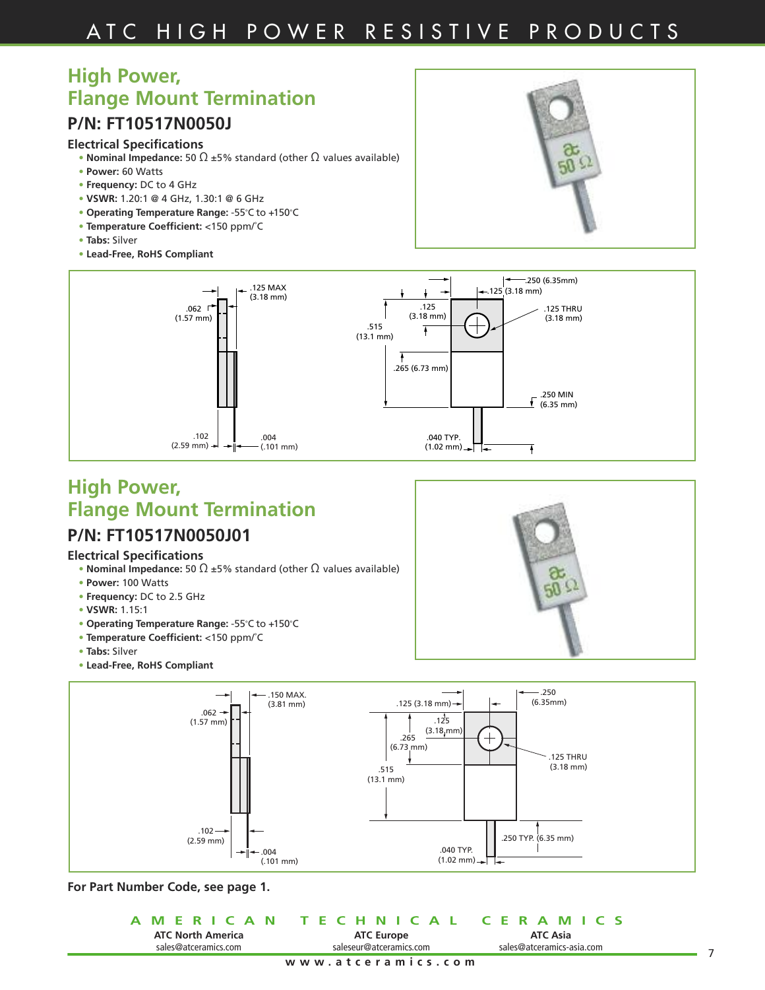# **High Power, Flange Mount Termination**

### **P/N: FT10517N0050J**

#### **Electrical Specifications**

- **• Nominal Impedance:** 50 Ω ±5% standard (other Ω values available)
- **• Power:** 60 Watts
- **• Frequency:** DC to 4 GHz
- **• VSWR:** 1.20:1 @ 4 GHz, 1.30:1 @ 6 GHz
- **• Operating Temperature Range:** -55˚C to +150˚C
- **• Temperature Coefficient:** <150 ppm/˚C
- **• Tabs:** Silver
- **• Lead-Free, RoHS Compliant**





### **High Power, Flange Mount Termination P/N: FT10517N0050J01**

#### **Electrical Specifications**

- **• Nominal Impedance:** 50 Ω ±5% standard (other Ω values available)
- **• Power:** 100 Watts
- **• Frequency:** DC to 2.5 GHz
- **• VSWR:** 1.15:1
- **• Operating Temperature Range:** -55˚C to +150˚C
- **• Temperature Coefficient:** <150 ppm/˚C
- **• Tabs:** Silver
- **• Lead-Free, RoHS Compliant**





**For Part Number Code, see page 1.**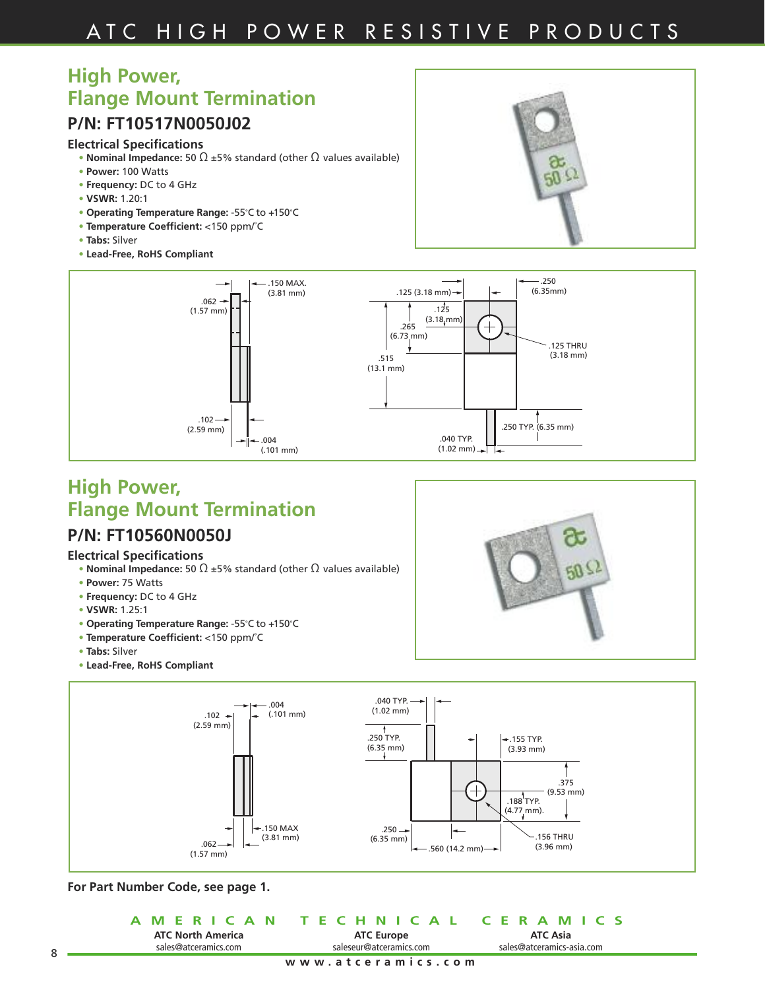# **High Power, Flange Mount Termination**

### **P/N: FT10517N0050J02**

### **Electrical Specifications**

- **• Nominal Impedance:** 50 Ω ±5% standard (other Ω values available)
- **• Power:** 100 Watts
- **• Frequency:** DC to 4 GHz
- **• VSWR:** 1.20:1
- **• Operating Temperature Range:** -55˚C to +150˚C
- **• Temperature Coefficient:** <150 ppm/˚C
- **• Tabs:** Silver
- **• Lead-Free, RoHS Compliant**





# **High Power, Flange Mount Termination**

### **P/N: FT10560N0050J**

#### **Electrical Specifications**

- **• Nominal Impedance:** 50 Ω ±5% standard (other Ω values available)
- **• Power:** 75 Watts
- **• Frequency:** DC to 4 GHz
- **• VSWR:** 1.25:1
- **• Operating Temperature Range:** -55˚C to +150˚C
- **• Temperature Coefficient:** <150 ppm/˚C
- **• Tabs:** Silver
- **• Lead-Free, RoHS Compliant**



**For Part Number Code, see page 1.**

|                          | A MERICAN TECHNICAL CERAMICS |                           |
|--------------------------|------------------------------|---------------------------|
| <b>ATC North America</b> | <b>ATC Europe</b>            | ATC Asia                  |
| sales@atceramics.com     | saleseur@atceramics.com      | sales@atceramics-asia.com |
|                          | www.atceramics.com           |                           |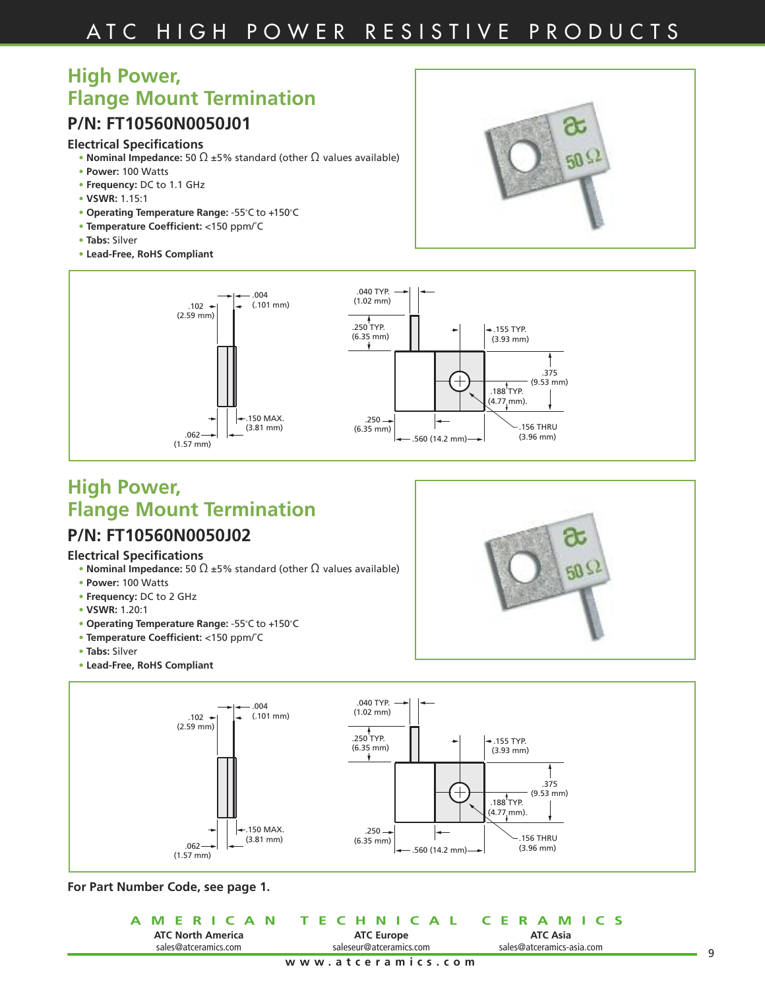# **High Power, Flange Mount Termination**

### **P/N: FT10560N0050J01**

### **Electrical Specifications**

- **• Nominal Impedance:** 50 Ω ±5% standard (other Ω values available)
- **• Power:** 100 Watts
- **• Frequency:** DC to 1.1 GHz
- **• VSWR:** 1.15:1
- **• Operating Temperature Range:** -55˚C to +150˚C
- **• Temperature Coefficient:** <150 ppm/˚C
- **• Tabs:** Silver
- **• Lead-Free, RoHS Compliant**





### **High Power, Flange Mount Termination P/N: FT10560N0050J02**

### **Electrical Specifications**

- **• Nominal Impedance:** 50 Ω ±5% standard (other Ω values available)
- **• Power:** 100 Watts
- **• Frequency:** DC to 2 GHz
- **• VSWR:** 1.20:1
- **• Operating Temperature Range:** -55˚C to +150˚C
- **• Temperature Coefficient:** <150 ppm/˚C
- **• Tabs:** Silver
- **• Lead-Free, RoHS Compliant**



|                          | A MERICAN TECHNICAL CERAMICS |                           |
|--------------------------|------------------------------|---------------------------|
| <b>ATC North America</b> | <b>ATC Europe</b>            | <b>ATC Asia</b>           |
| sales@atceramics.com     | saleseur@atceramics.com      | sales@atceramics-asia.com |
|                          | www.atceramics.com           |                           |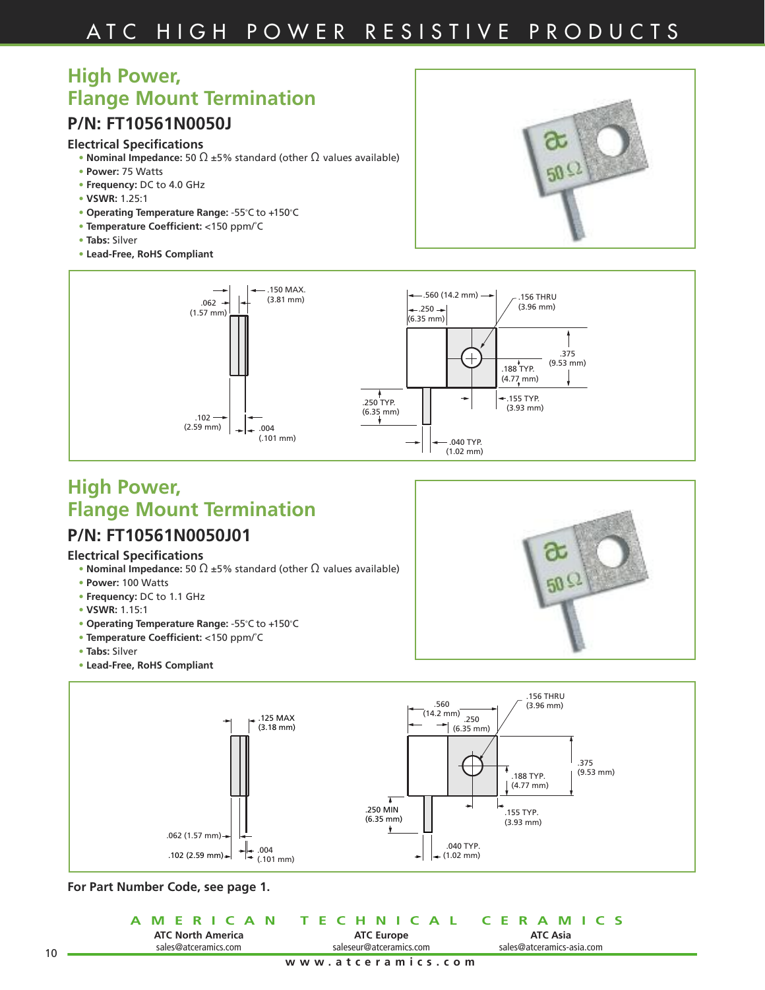# **High Power, Flange Mount Termination**

### **P/N: FT10561N0050J**

#### **Electrical Specifications**

- **• Nominal Impedance:** 50 Ω ±5% standard (other Ω values available)
- **• Power:** 75 Watts
- **• Frequency:** DC to 4.0 GHz
- **• VSWR:** 1.25:1
- **• Operating Temperature Range:** -55˚C to +150˚C
- **• Temperature Coefficient:** <150 ppm/˚C
- **• Tabs:** Silver
- **• Lead-Free, RoHS Compliant**





### **High Power, Flange Mount Termination P/N: FT10561N0050J01**

#### **Electrical Specifications**

- **• Nominal Impedance:** 50 Ω ±5% standard (other Ω values available)
- **• Power:** 100 Watts
- **• Frequency:** DC to 1.1 GHz
- **• VSWR:** 1.15:1
- **• Operating Temperature Range:** -55˚C to +150˚C
- **• Temperature Coefficient:** <150 ppm/˚C
- **• Tabs:** Silver
- **• Lead-Free, RoHS Compliant**





**For Part Number Code, see page 1.**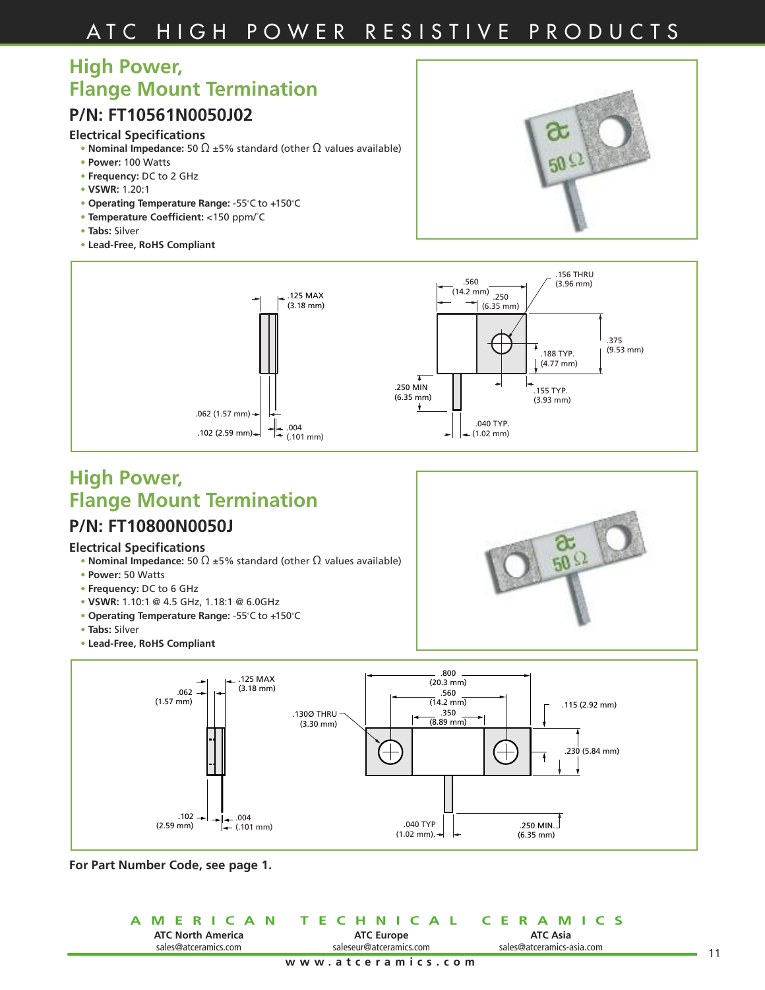### **High Power, Flange Mount Termination**

### **P/N: FT10561N0050J02**

#### **Electrical Specifications**

- **Nominal Impedance:** 50  $\Omega$  ±5% standard (other  $\Omega$  values available)
- **• Power:** 100 Watts
- **• Frequency:** DC to 2 GHz
- **• VSWR:** 1.20:1
- **• Operating Temperature Range:** -55˚C to +150˚C
- **• Temperature Coefficient:** <150 ppm/˚C
- **• Tabs:** Silver
- **• Lead-Free, RoHS Compliant**





### **High Power, Flange Mount Termination**

### **P/N: FT10800N0050J**

#### **Electrical Specifications**

- **Nominal Impedance:** 50  $\Omega$  ±5% standard (other  $\Omega$  values available)
- **• Power:** 50 Watts
- **• Frequency:** DC to 6 GHz
- **• VSWR:** 1.10:1 @ 4.5 GHz, 1.18:1 @ 6.0GHz
- **• Operating Temperature Range:** -55˚C to +150˚C
- **• Tabs:** Silver
- **• Lead-Free, RoHS Compliant**





**For Part Number Code, see page 1.**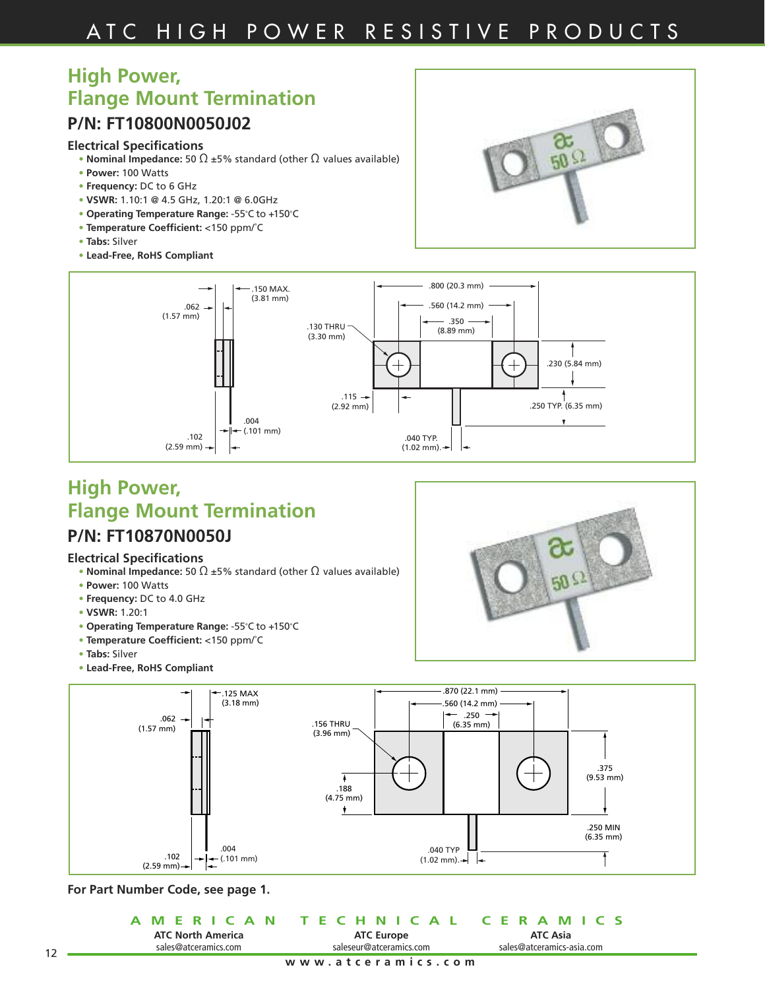# **High Power, Flange Mount Termination**

### **P/N: FT10800N0050J02**

#### **Electrical Specifications**

- **• Nominal Impedance:** 50 Ω ±5% standard (other Ω values available)
- **• Power:** 100 Watts
- **• Frequency:** DC to 6 GHz
- **• VSWR:** 1.10:1 @ 4.5 GHz, 1.20:1 @ 6.0GHz
- **• Operating Temperature Range:** -55˚C to +150˚C
- **• Temperature Coefficient:** <150 ppm/˚C
- **• Tabs:** Silver
- **• Lead-Free, RoHS Compliant**





# **High Power, Flange Mount Termination**

### **P/N: FT10870N0050J**

#### **Electrical Specifications**

- **• Nominal Impedance:** 50 Ω ±5% standard (other Ω values available)
- **• Power:** 100 Watts
- **• Frequency:** DC to 4.0 GHz
- **• VSWR:** 1.20:1
- **• Operating Temperature Range:** -55˚C to +150˚C
- **• Temperature Coefficient:** <150 ppm/˚C
- **• Tabs:** Silver
- **• Lead-Free, RoHS Compliant**





**For Part Number Code, see page 1.**

|                          | A MERICAN TECHNICAL CERAMICS |                           |
|--------------------------|------------------------------|---------------------------|
| <b>ATC North America</b> | <b>ATC Europe</b>            | <b>ATC Asia</b>           |
| sales@atceramics.com     | saleseur@atceramics.com      | sales@atceramics-asia.com |
|                          | www.atceramics.com           |                           |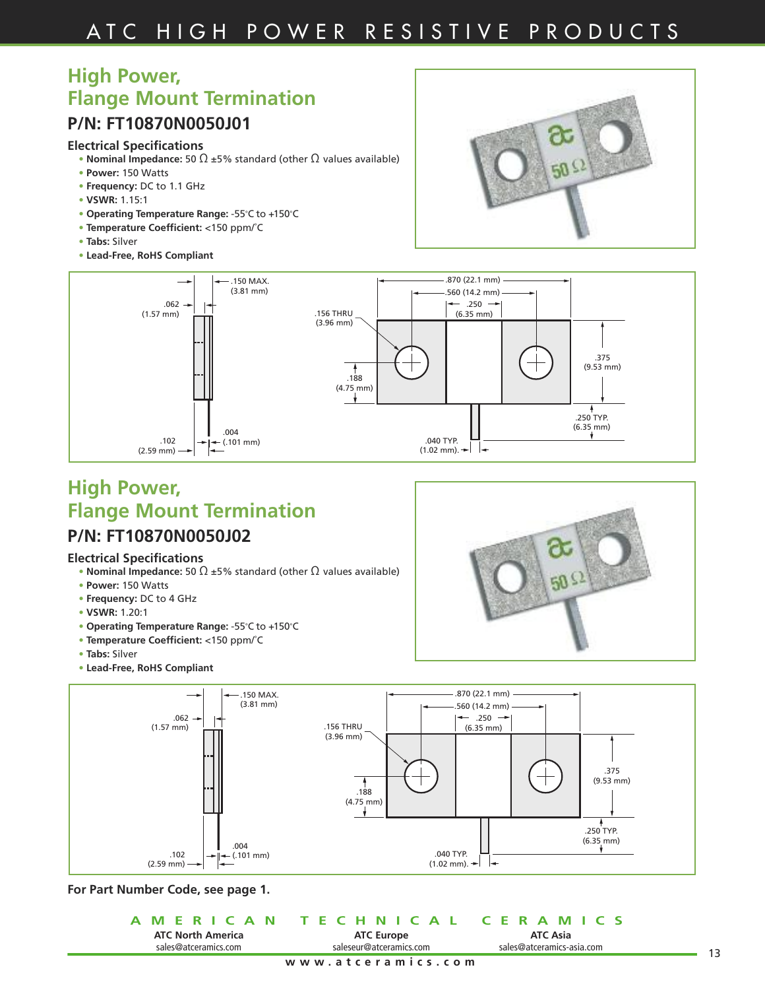# **High Power, Flange Mount Termination**

### **P/N: FT10870N0050J01**

#### **Electrical Specifications**

- **• Nominal Impedance:** 50 Ω ±5% standard (other Ω values available)
- **• Power:** 150 Watts
- **• Frequency:** DC to 1.1 GHz
- **• VSWR:** 1.15:1
- **• Operating Temperature Range:** -55˚C to +150˚C
- **• Temperature Coefficient:** <150 ppm/˚C
- **• Tabs:** Silver
- **• Lead-Free, RoHS Compliant**



50



# **High Power, Flange Mount Termination**

### **P/N: FT10870N0050J02**

#### **Electrical Specifications**

- **• Nominal Impedance:** 50 Ω ±5% standard (other Ω values available)
- **• Power:** 150 Watts
- **• Frequency:** DC to 4 GHz
- **• VSWR:** 1.20:1
- **• Operating Temperature Range:** -55˚C to +150˚C
- **• Temperature Coefficient:** <150 ppm/˚C
- **• Tabs:** Silver



|                          | A MERICAN TECHNICAL CERAMICS |                           |
|--------------------------|------------------------------|---------------------------|
| <b>ATC North America</b> | <b>ATC Europe</b>            | <b>ATC Asia</b>           |
| sales@atceramics.com     | saleseur@atceramics.com      | sales@atceramics-asia.com |
|                          | www.atceramics.com           |                           |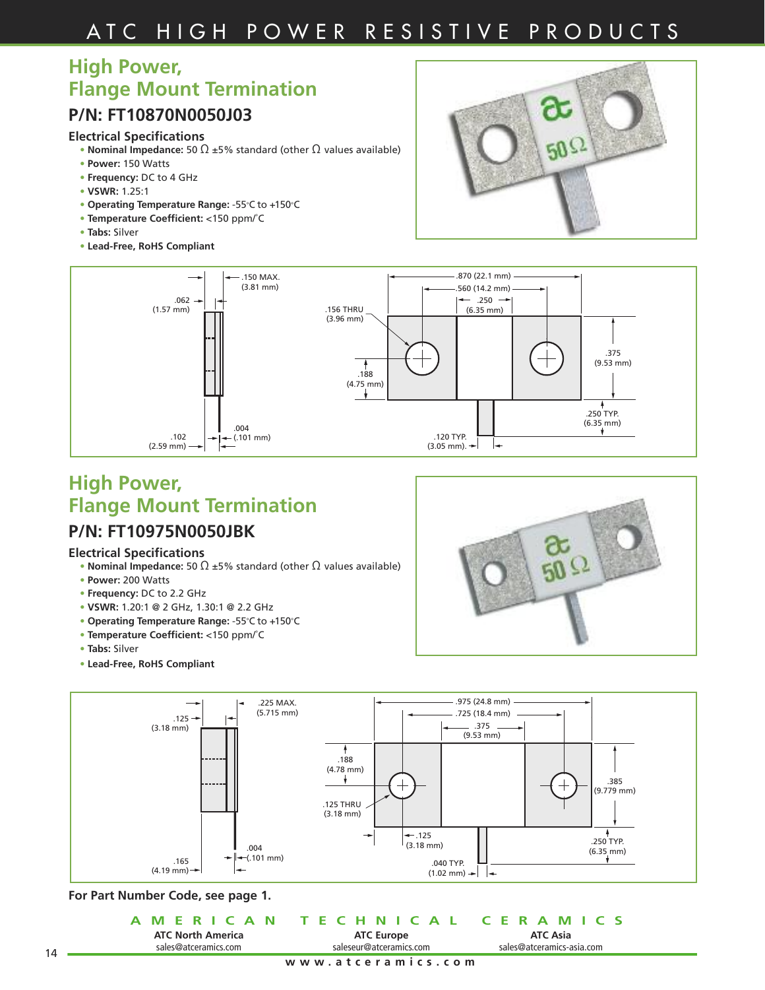### **High Power, Flange Mount Termination**

### **P/N: FT10870N0050J03**

#### **Electrical Specifications**

- **• Nominal Impedance:** 50 Ω ±5% standard (other Ω values available)
- **• Power:** 150 Watts
- **• Frequency:** DC to 4 GHz
- **• VSWR:** 1.25:1
- **• Operating Temperature Range:** -55˚C to +150˚C
- **• Temperature Coefficient:** <150 ppm/˚C
- **• Tabs:** Silver
- **• Lead-Free, RoHS Compliant**





# **High Power, Flange Mount Termination**

### **P/N: FT10975N0050JBK**

#### **Electrical Specifications**

- **• Nominal Impedance:** 50 Ω ±5% standard (other Ω values available)
- **• Power:** 200 Watts
- **• Frequency:** DC to 2.2 GHz
- **• VSWR:** 1.20:1 @ 2 GHz, 1.30:1 @ 2.2 GHz
- **• Operating Temperature Range:** -55˚C to +150˚C
- **• Temperature Coefficient:** <150 ppm/˚C
- **• Tabs:** Silver
- **• Lead-Free, RoHS Compliant**





#### **For Part Number Code, see page 1.**